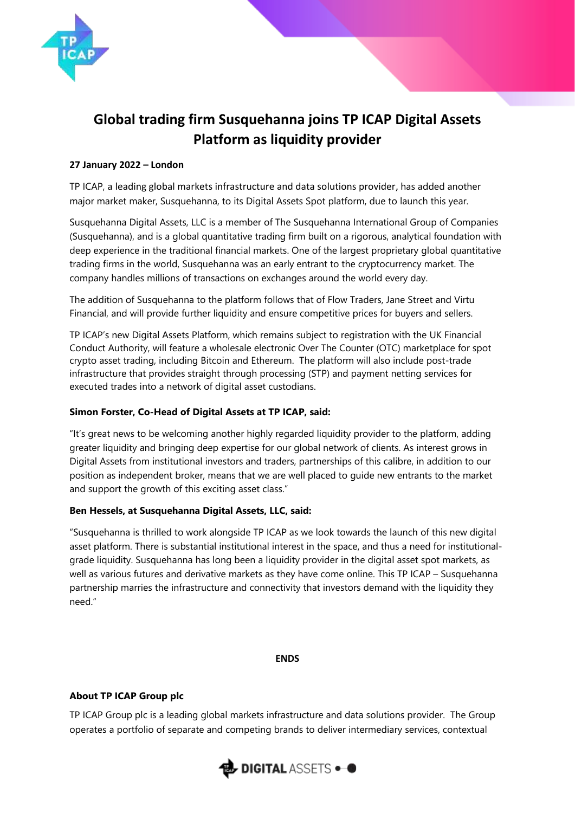

# **Global trading firm Susquehanna joins TP ICAP Digital Assets Platform as liquidity provider**

## **27 January 2022 – London**

TP ICAP, a leading global markets infrastructure and data solutions provider, has added another major market maker, Susquehanna, to its Digital Assets Spot platform, due to launch this year.

Susquehanna Digital Assets, LLC is a member of The Susquehanna International Group of Companies (Susquehanna), and is a global quantitative trading firm built on a rigorous, analytical foundation with deep experience in the traditional financial markets. One of the largest proprietary global quantitative trading firms in the world, Susquehanna was an early entrant to the cryptocurrency market. The company handles millions of transactions on exchanges around the world every day.

The addition of Susquehanna to the platform follows that of Flow Traders, Jane Street and Virtu Financial, and will provide further liquidity and ensure competitive prices for buyers and sellers.

TP ICAP's new Digital Assets Platform, which remains subject to registration with the UK Financial Conduct Authority, will feature a wholesale electronic Over The Counter (OTC) marketplace for spot crypto asset trading, including Bitcoin and Ethereum. The platform will also include post-trade infrastructure that provides straight through processing (STP) and payment netting services for executed trades into a network of digital asset custodians.

# **Simon Forster, Co-Head of Digital Assets at TP ICAP, said:**

"It's great news to be welcoming another highly regarded liquidity provider to the platform, adding greater liquidity and bringing deep expertise for our global network of clients. As interest grows in Digital Assets from institutional investors and traders, partnerships of this calibre, in addition to our position as independent broker, means that we are well placed to guide new entrants to the market and support the growth of this exciting asset class."

## **Ben Hessels, at Susquehanna Digital Assets, LLC, said:**

"Susquehanna is thrilled to work alongside TP ICAP as we look towards the launch of this new digital asset platform. There is substantial institutional interest in the space, and thus a need for institutionalgrade liquidity. Susquehanna has long been a liquidity provider in the digital asset spot markets, as well as various futures and derivative markets as they have come online. This TP ICAP – Susquehanna partnership marries the infrastructure and connectivity that investors demand with the liquidity they need."

#### **ENDS**

## **About TP ICAP Group plc**

TP ICAP Group plc is a leading global markets infrastructure and data solutions provider. The Group operates a portfolio of separate and competing brands to deliver intermediary services, contextual